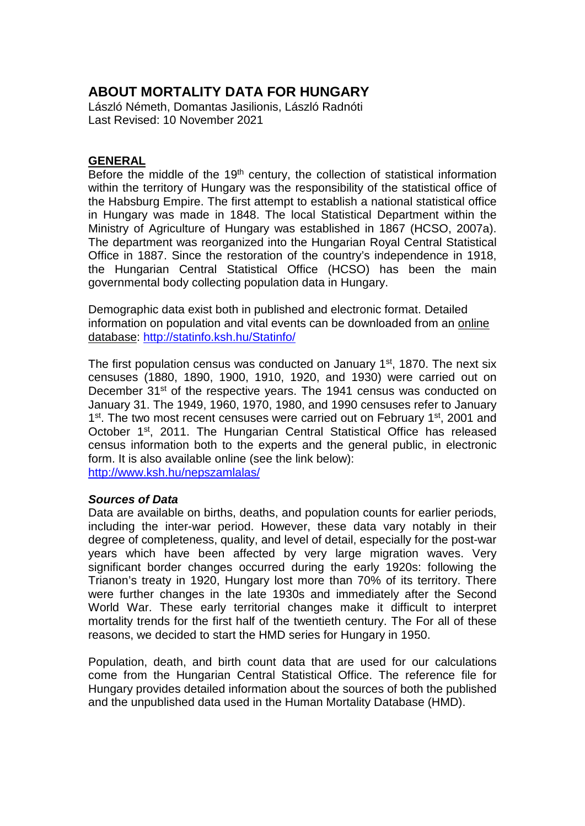# **ABOUT MORTALITY DATA FOR HUNGARY**

László Németh, Domantas Jasilionis, László Radnóti Last Revised: 10 November 2021

## **GENERAL**

Before the middle of the 19<sup>th</sup> century, the collection of statistical information within the territory of Hungary was the responsibility of the statistical office of the Habsburg Empire. The first attempt to establish a national statistical office in Hungary was made in 1848. The local Statistical Department within the Ministry of Agriculture of Hungary was established in 1867 (HCSO, 2007a). The department was reorganized into the Hungarian Royal Central Statistical Office in 1887. Since the restoration of the country's independence in 1918, the Hungarian Central Statistical Office (HCSO) has been the main governmental body collecting population data in Hungary.

Demographic data exist both in published and electronic format. Detailed information on population and vital events can be downloaded from an [online](http://portal.ksh.hu/portal/page?_pageid=38,119917&_dad=portal&_schema=PORTAL)  [database:](http://portal.ksh.hu/portal/page?_pageid=38,119917&_dad=portal&_schema=PORTAL)<http://statinfo.ksh.hu/Statinfo/>

The first population census was conducted on January 1<sup>st</sup>, 1870. The next six censuses (1880, 1890, 1900, 1910, 1920, and 1930) were carried out on December 31<sup>st</sup> of the respective years. The 1941 census was conducted on January 31. The 1949, 1960, 1970, 1980, and 1990 censuses refer to January 1<sup>st</sup>. The two most recent censuses were carried out on February 1<sup>st</sup>, 2001 and October 1<sup>st</sup>, 2011. The Hungarian Central Statistical Office has released census information both to the experts and the general public, in electronic form. It is also available online (see the link below):

<http://www.ksh.hu/nepszamlalas/>

## *Sources of Data*

Data are available on births, deaths, and population counts for earlier periods, including the inter-war period. However, these data vary notably in their degree of completeness, quality, and level of detail, especially for the post-war years which have been affected by very large migration waves. Very significant border changes occurred during the early 1920s: following the Trianon's treaty in 1920, Hungary lost more than 70% of its territory. There were further changes in the late 1930s and immediately after the Second World War. These early territorial changes make it difficult to interpret mortality trends for the first half of the twentieth century. The For all of these reasons, we decided to start the HMD series for Hungary in 1950.

Population, death, and birth count data that are used for our calculations come from the Hungarian Central Statistical Office. The reference file for Hungary provides detailed information about the sources of both the published and the unpublished data used in the Human Mortality Database (HMD).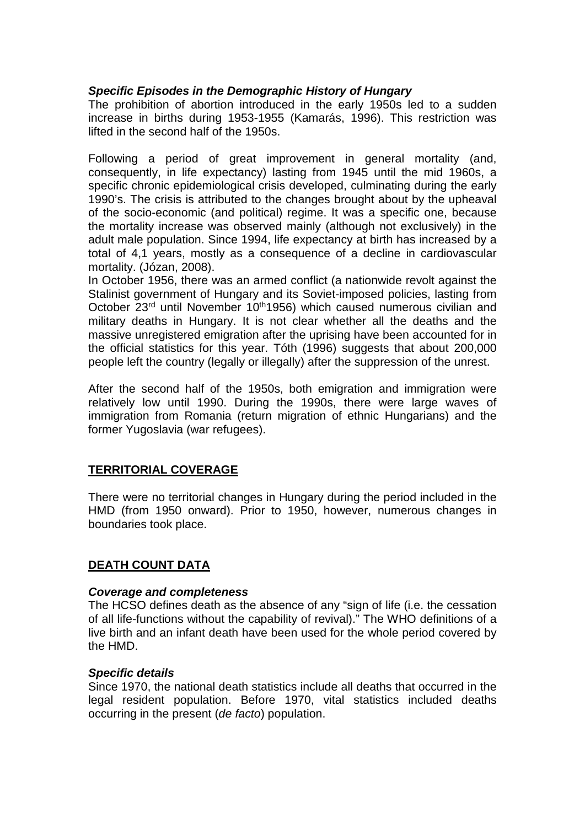## *Specific Episodes in the Demographic History of Hungary*

The prohibition of abortion introduced in the early 1950s led to a sudden increase in births during 1953-1955 (Kamarás, 1996). This restriction was lifted in the second half of the 1950s.

Following a period of great improvement in general mortality (and, consequently, in life expectancy) lasting from 1945 until the mid 1960s, a specific chronic epidemiological crisis developed, culminating during the early 1990's. The crisis is attributed to the changes brought about by the upheaval of the socio-economic (and political) regime. It was a specific one, because the mortality increase was observed mainly (although not exclusively) in the adult male population. Since 1994, life expectancy at birth has increased by a total of 4,1 years, mostly as a consequence of a decline in cardiovascular mortality. (Józan, 2008).

In October 1956, there was an armed conflict (a nationwide revolt against the Stalinist government of Hungary and its Soviet-imposed policies, lasting from October 23<sup>rd</sup> until November 10<sup>th</sup>1956) which caused numerous civilian and military deaths in Hungary. It is not clear whether all the deaths and the massive unregistered emigration after the uprising have been accounted for in the official statistics for this year. Tóth (1996) suggests that about 200,000 people left the country (legally or illegally) after the suppression of the unrest.

After the second half of the 1950s, both emigration and immigration were relatively low until 1990. During the 1990s, there were large waves of immigration from Romania (return migration of ethnic Hungarians) and the former Yugoslavia (war refugees).

## **TERRITORIAL COVERAGE**

There were no territorial changes in Hungary during the period included in the HMD (from 1950 onward). Prior to 1950, however, numerous changes in boundaries took place.

## **DEATH COUNT DATA**

#### *Coverage and completeness*

The HCSO defines death as the absence of any "sign of life (i.e. the cessation of all life-functions without the capability of revival)." The WHO definitions of a live birth and an infant death have been used for the whole period covered by the HMD.

#### *Specific details*

Since 1970, the national death statistics include all deaths that occurred in the legal resident population. Before 1970, vital statistics included deaths occurring in the present (*de facto*) population.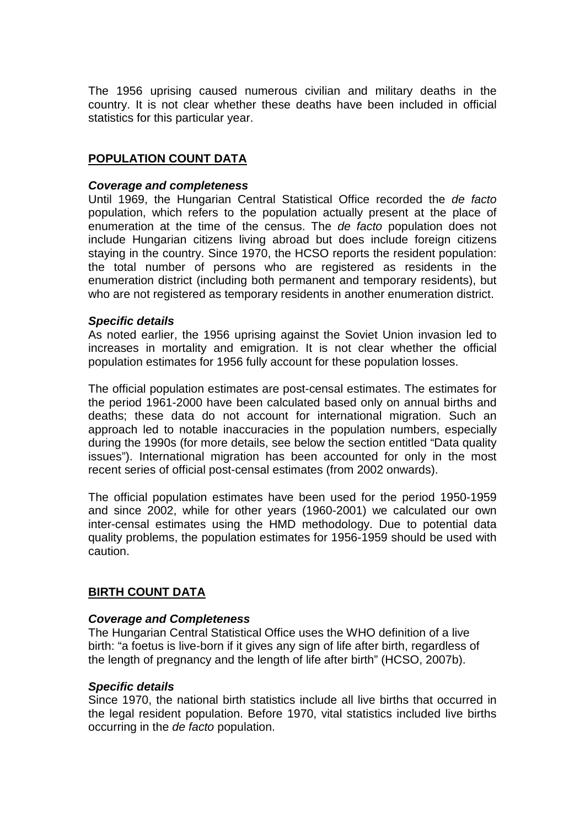The 1956 uprising caused numerous civilian and military deaths in the country. It is not clear whether these deaths have been included in official statistics for this particular year.

## **POPULATION COUNT DATA**

#### *Coverage and completeness*

Until 1969, the Hungarian Central Statistical Office recorded the *de facto* population, which refers to the population actually present at the place of enumeration at the time of the census. The *de facto* population does not include Hungarian citizens living abroad but does include foreign citizens staying in the country. Since 1970, the HCSO reports the resident population: the total number of persons who are registered as residents in the enumeration district (including both permanent and temporary residents), but who are not registered as temporary residents in another enumeration district.

#### *Specific details*

As noted earlier, the 1956 uprising against the Soviet Union invasion led to increases in mortality and emigration. It is not clear whether the official population estimates for 1956 fully account for these population losses.

The official population estimates are post-censal estimates. The estimates for the period 1961-2000 have been calculated based only on annual births and deaths; these data do not account for international migration. Such an approach led to notable inaccuracies in the population numbers, especially during the 1990s (for more details, see below the section entitled "Data quality issues"). International migration has been accounted for only in the most recent series of official post-censal estimates (from 2002 onwards).

The official population estimates have been used for the period 1950-1959 and since 2002, while for other years (1960-2001) we calculated our own inter-censal estimates using the HMD methodology. Due to potential data quality problems, the population estimates for 1956-1959 should be used with caution.

## **BIRTH COUNT DATA**

## *Coverage and Completeness*

The Hungarian Central Statistical Office uses the WHO definition of a live birth: "a foetus is live-born if it gives any sign of life after birth, regardless of the length of pregnancy and the length of life after birth" (HCSO, 2007b).

#### *Specific details*

Since 1970, the national birth statistics include all live births that occurred in the legal resident population. Before 1970, vital statistics included live births occurring in the *de facto* population.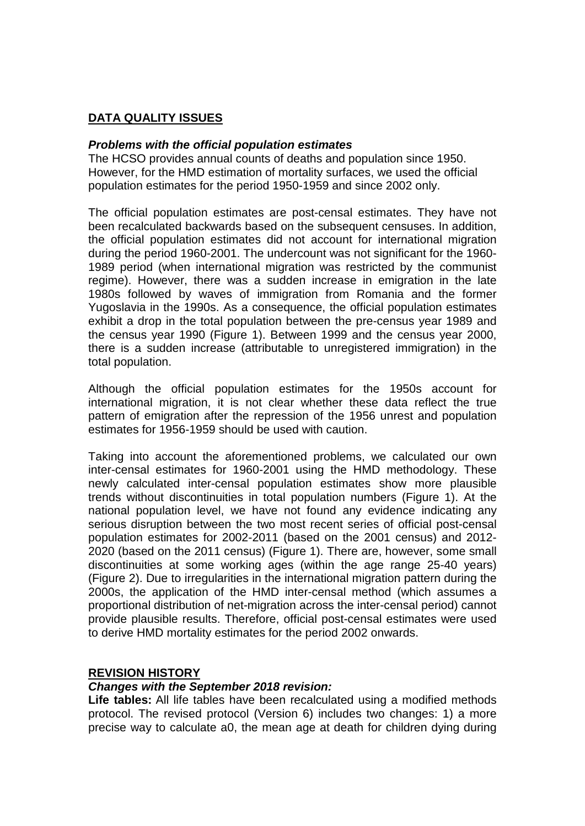# **DATA QUALITY ISSUES**

### *Problems with the official population estimates*

The HCSO provides annual counts of deaths and population since 1950. However, for the HMD estimation of mortality surfaces, we used the official population estimates for the period 1950-1959 and since 2002 only.

The official population estimates are post-censal estimates. They have not been recalculated backwards based on the subsequent censuses. In addition, the official population estimates did not account for international migration during the period 1960-2001. The undercount was not significant for the 1960- 1989 period (when international migration was restricted by the communist regime). However, there was a sudden increase in emigration in the late 1980s followed by waves of immigration from Romania and the former Yugoslavia in the 1990s. As a consequence, the official population estimates exhibit a drop in the total population between the pre-census year 1989 and the census year 1990 (Figure 1). Between 1999 and the census year 2000, there is a sudden increase (attributable to unregistered immigration) in the total population.

Although the official population estimates for the 1950s account for international migration, it is not clear whether these data reflect the true pattern of emigration after the repression of the 1956 unrest and population estimates for 1956-1959 should be used with caution.

Taking into account the aforementioned problems, we calculated our own inter-censal estimates for 1960-2001 using the HMD methodology. These newly calculated inter-censal population estimates show more plausible trends without discontinuities in total population numbers (Figure 1). At the national population level, we have not found any evidence indicating any serious disruption between the two most recent series of official post-censal population estimates for 2002-2011 (based on the 2001 census) and 2012- 2020 (based on the 2011 census) (Figure 1). There are, however, some small discontinuities at some working ages (within the age range 25-40 years) (Figure 2). Due to irregularities in the international migration pattern during the 2000s, the application of the HMD inter-censal method (which assumes a proportional distribution of net-migration across the inter-censal period) cannot provide plausible results. Therefore, official post-censal estimates were used to derive HMD mortality estimates for the period 2002 onwards.

## **REVISION HISTORY**

#### *Changes with the September 2018 revision:*

**Life tables:** All life tables have been recalculated using a modified methods protocol. The revised protocol (Version 6) includes two changes: 1) a more precise way to calculate a0, the mean age at death for children dying during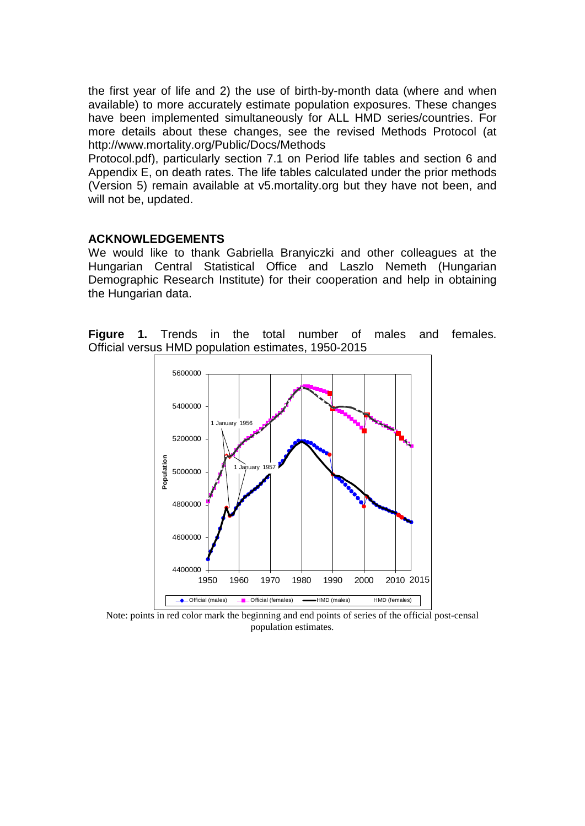the first year of life and 2) the use of birth-by-month data (where and when available) to more accurately estimate population exposures. These changes have been implemented simultaneously for ALL HMD series/countries. For more details about these changes, see the revised Methods Protocol (at http://www.mortality.org/Public/Docs/Methods

Protocol.pdf), particularly section 7.1 on Period life tables and section 6 and Appendix E, on death rates. The life tables calculated under the prior methods (Version 5) remain available at v5.mortality.org but they have not been, and will not be, updated.

#### **ACKNOWLEDGEMENTS**

We would like to thank Gabriella Branyiczki and other colleagues at the Hungarian Central Statistical Office and Laszlo Nemeth (Hungarian Demographic Research Institute) for their cooperation and help in obtaining the Hungarian data.

**Figure 1.** Trends in the total number of males and females. Official versus HMD population estimates, 1950-2015



Note: points in red color mark the beginning and end points of series of the official post-censal population estimates.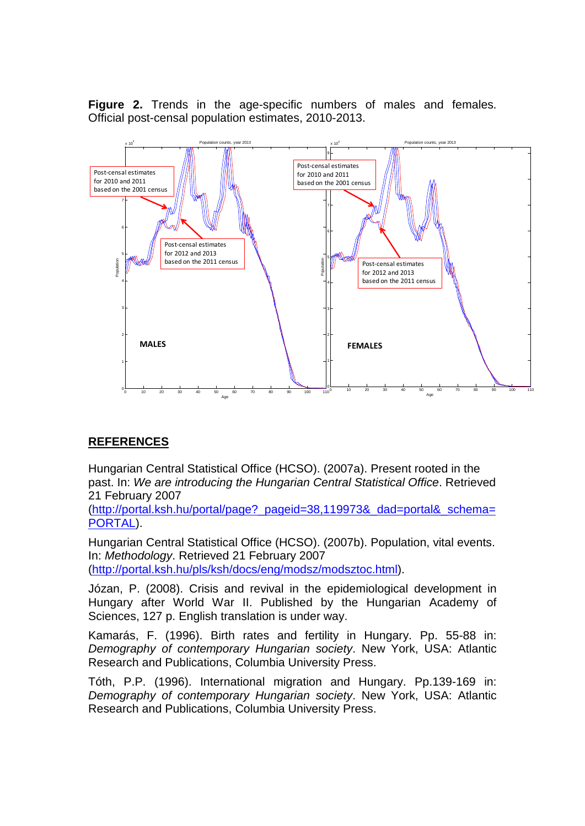**Figure 2.** Trends in the age-specific numbers of males and females. Official post-censal population estimates, 2010-2013.



# **REFERENCES**

Hungarian Central Statistical Office (HCSO). (2007a). Present rooted in the past. In: *We are introducing the Hungarian Central Statistical Office*. Retrieved 21 February 2007

[\(http://portal.ksh.hu/portal/page?\\_pageid=38,119973&\\_dad=portal&\\_schema=](http://portal.ksh.hu/portal/page?_pageid=38,119973&_dad=portal&_schema=PORTAL) [PORTAL\)](http://portal.ksh.hu/portal/page?_pageid=38,119973&_dad=portal&_schema=PORTAL).

Hungarian Central Statistical Office (HCSO). (2007b). Population, vital events. In: *Methodology*. Retrieved 21 February 2007 [\(http://portal.ksh.hu/pls/ksh/docs/eng/modsz/modsztoc.html\)](http://portal.ksh.hu/pls/ksh/docs/eng/modsz/modsztoc.html).

Józan, P. (2008). Crisis and revival in the epidemiological development in Hungary after World War II. Published by the Hungarian Academy of Sciences, 127 p. English translation is under way.

Kamarás, F. (1996). Birth rates and fertility in Hungary. Pp. 55-88 in: *Demography of contemporary Hungarian society*. New York, USA: Atlantic Research and Publications, Columbia University Press.

Tóth, P.P. (1996). International migration and Hungary. Pp.139-169 in: *Demography of contemporary Hungarian society*. New York, USA: Atlantic Research and Publications, Columbia University Press.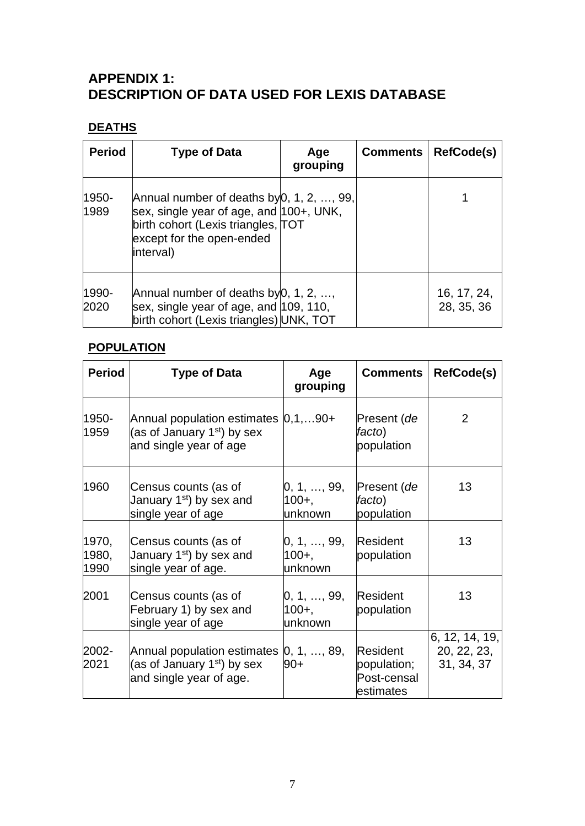# **APPENDIX 1: DESCRIPTION OF DATA USED FOR LEXIS DATABASE**

# **DEATHS**

| <b>Period</b>     | <b>Type of Data</b>                                                                                                                                                           | Age<br>grouping | <b>Comments</b> | <b>RefCode(s)</b>         |
|-------------------|-------------------------------------------------------------------------------------------------------------------------------------------------------------------------------|-----------------|-----------------|---------------------------|
| $ 1950 -$<br>1989 | Annual number of deaths by $[0, 1, 2, \ldots, 99]$<br>sex, single year of age, and 100+, UNK,<br>birth cohort (Lexis triangles, TOT<br>except for the open-ended<br>interval) |                 |                 |                           |
| $ 1990-$<br>2020  | Annual number of deaths by 0, 1, 2, ,<br>sex, single year of age, and 109, 110,<br>birth cohort (Lexis triangles) UNK, TOT                                                    |                 |                 | 16, 17, 24,<br>28, 35, 36 |

# **POPULATION**

| <b>Period</b>          | <b>Type of Data</b>                                                                               | Age<br>grouping                     | <b>Comments</b>                                            | <b>RefCode(s)</b>                           |
|------------------------|---------------------------------------------------------------------------------------------------|-------------------------------------|------------------------------------------------------------|---------------------------------------------|
| 1950-<br>1959          | Annual population estimates $[0,1,90+$<br>(as of January 1st) by sex<br>and single year of age    |                                     | Present ( <i>de</i><br>facto)<br>population                | 2                                           |
| 1960                   | Census counts (as of<br>January 1 <sup>st</sup> ) by sex and<br>single year of age                | 0, 1, , 99,<br>$100 +$ ,<br>unknown | Present (de<br>facto)<br>population                        | 13                                          |
| 1970,<br>1980,<br>1990 | Census counts (as of<br>January 1 <sup>st</sup> ) by sex and<br>single year of age.               | 0, 1, , 99,<br>$100 +$ ,<br>unknown | <b>Resident</b><br>population                              | 13                                          |
| 2001                   | Census counts (as of<br>February 1) by sex and<br>single year of age                              | 0, 1, , 99,<br>$100 +$ ,<br>unknown | <b>Resident</b><br>population                              | 13                                          |
| 2002-<br>2021          | Annual population estimates<br>(as of January 1 <sup>st</sup> ) by sex<br>and single year of age. | 0, 1, , 89,<br>$90+$                | <b>Resident</b><br>population;<br>Post-censal<br>estimates | 6, 12, 14, 19,<br>20, 22, 23,<br>31, 34, 37 |